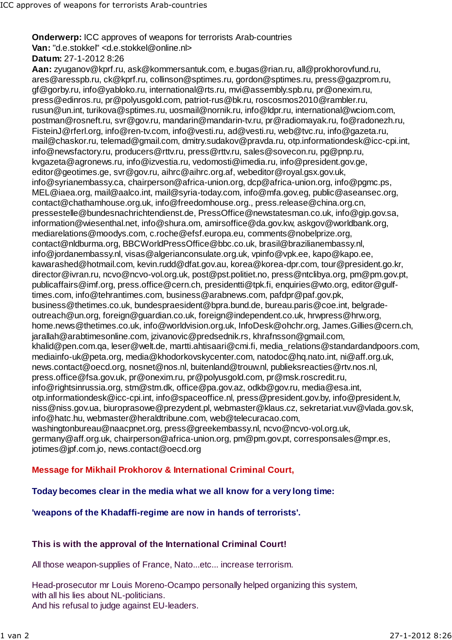**Onderwerp:** ICC approves of weapons for terrorists Arab-countries **Van:** "d.e.stokkel" <d.e.stokkel@online.nl> **Datum:** 27-1-2012 8:26

**Aan:** zyuganov@kprf.ru, ask@kommersantuk.com, e.bugas@rian.ru, all@prokhorovfund.ru, ares@aresspb.ru, ck@kprf.ru, collinson@sptimes.ru, gordon@sptimes.ru, press@gazprom.ru, gf@gorby.ru, info@yabloko.ru, international@rts.ru, mvi@assembly.spb.ru, pr@onexim.ru, press@edinros.ru, pr@polyusgold.com, patriot-rus@bk.ru, roscosmos2010@rambler.ru, rusun@un.int, turikova@sptimes.ru, uosmail@nornik.ru, info@ldpr.ru, international@wciom.com, postman@rosneft.ru, svr@gov.ru, mandarin@mandarin-tv.ru, pr@radiomayak.ru, fo@radonezh.ru, FisteinJ@rferl.org, info@ren-tv.com, info@vesti.ru, ad@vesti.ru, web@tvc.ru, info@gazeta.ru, mail@chaskor.ru, telemad@gmail.com, dmitry.sudakov@pravda.ru, otp.informationdesk@icc-cpi.int, info@newsfactory.ru, producers@rttv.ru, press@rttv.ru, sales@sovecon.ru, pg@pnp.ru, kvgazeta@agronews.ru, info@izvestia.ru, vedomosti@imedia.ru, info@president.gov.ge, editor@geotimes.ge, svr@gov.ru, aihrc@aihrc.org.af, webeditor@royal.gsx.gov.uk, info@syrianembassy.ca, chairperson@africa-union.org, dcp@africa-union.org, info@pgmc.ps, MEL@iaea.org, mail@aalco.int, mail@syria-today.com, info@mfa.gov.eg, public@aseansec.org, contact@chathamhouse.org.uk, info@freedomhouse.org., press.release@china.org.cn, pressestelle@bundesnachrichtendienst.de, PressOffice@newstatesman.co.uk, info@gip.gov.sa, information@wiesenthal.net, info@shura.om, amirsoffice@da.gov.kw, askgov@worldbank.org, mediarelations@moodys.com, c.roche@efsf.europa.eu, comments@nobelprize.org, contact@nldburma.org, BBCWorldPressOffice@bbc.co.uk, brasil@brazilianembassy.nl, info@jordanembassy.nl, visas@algerianconsulate.org.uk, vpinfo@vpk.ee, kapo@kapo.ee, kawarashed@hotmail.com, kevin.rudd@dfat.gov.au, korea@korea-dpr.com, tour@president.go.kr, director@ivran.ru, ncvo@ncvo-vol.org.uk, post@pst.politiet.no, press@ntclibya.org, pm@pm.gov.pt, publicaffairs@imf.org, press.office@cern.ch, presidentti@tpk.fi, enquiries@wto.org, editor@gulftimes.com, info@tehrantimes.com, business@arabnews.com, pafdpr@paf.gov.pk, business@thetimes.co.uk, bundespraesident@bpra.bund.de, bureau.paris@coe.int, belgradeoutreach@un.org, foreign@guardian.co.uk, foreign@independent.co.uk, hrwpress@hrw.org, home.news@thetimes.co.uk, info@worldvision.org.uk, InfoDesk@ohchr.org, James.Gillies@cern.ch, jarallah@arabtimesonline.com, jzivanovic@predsednik.rs, khrafnsson@gmail.com, khalid@pen.com.qa, leser@welt.de, martti.ahtisaari@cmi.fi, media\_relations@standardandpoors.com, mediainfo-uk@peta.org, media@khodorkovskycenter.com, natodoc@hq.nato.int, ni@aff.org.uk, news.contact@oecd.org, nosnet@nos.nl, buitenland@trouw.nl, publieksreacties@rtv.nos.nl, press.office@fsa.gov.uk, pr@onexim.ru, pr@polyusgold.com, pr@msk.roscredit.ru, info@rightsinrussia.org, stm@stm.dk, office@pa.gov.az, odkb@gov.ru, media@esa.int, otp.informationdesk@icc-cpi.int, info@spaceoffice.nl, press@president.gov.by, info@president.lv, niss@niss.gov.ua, biuroprasowe@prezydent.pl, webmaster@klaus.cz, sekretariat.vuv@vlada.gov.sk, info@hatc.hu, webmaster@heraldtribune.com, web@telecuracao.com, washingtonbureau@naacpnet.org, press@greekembassy.nl, ncvo@ncvo-vol.org.uk, germany@aff.org.uk, chairperson@africa-union.org, pm@pm.gov.pt, corresponsales@mpr.es, jotimes@jpf.com.jo, news.contact@oecd.org

## **Message for Mikhail Prokhorov & International Criminal Court,**

## **Today becomes clear in the media what we all know for a very long time:**

## **'weapons of the Khadaffi-regime are now in hands of terrorists'.**

## **This is with the approval of the International Criminal Court!**

All those weapon-supplies of France, Nato...etc... increase terrorism.

Head-prosecutor mr Louis Moreno-Ocampo personally helped organizing this system, with all his lies about NL-politicians. And his refusal to judge against EU-leaders.